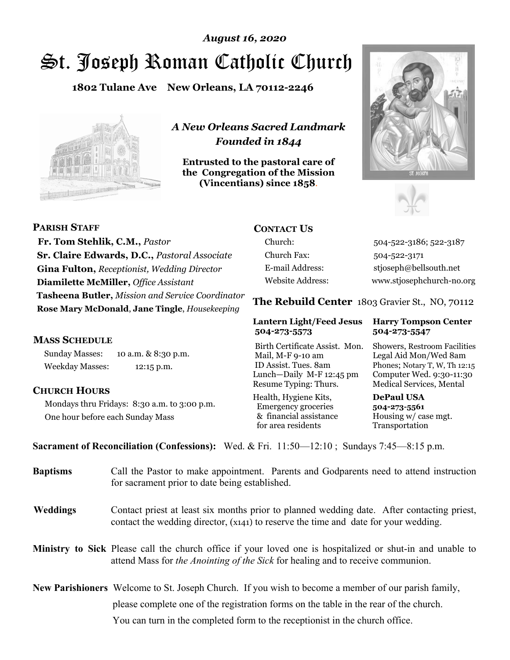# St. Joseph Roman Catholic Church *August 16, 2020*

**1802 Tulane Ave New Orleans, LA 70112-2246**



*A New Orleans Sacred Landmark Founded in 1844* 

**Entrusted to the pastoral care of the Congregation of the Mission (Vincentians) since 1858**.





**PARISH STAFF Fr. Tom Stehlik, C.M.,** *Pastor* **Sr. Claire Edwards, D.C.,** *Pastoral Associate* **Gina Fulton,** *Receptionist, Wedding Director* **Diamilette McMiller,** *Office Assistant* **Tasheena Butler,** *Mission and Service Coordinator* **Rose Mary McDonald**, **Jane Tingle**, *Housekeeping* 

#### **MASS SCHEDULE**

Sunday Masses: 10 a.m. & 8:30 p.m. Weekday Masses: 12:15 p.m.

#### **CHURCH HOURS**

Mondays thru Fridays: 8:30 a.m. to 3:00 p.m. One hour before each Sunday Mass

### **CONTACT US**

Church: 504-522-3186; 522-3187 Church Fax: 504-522-3171 E-mail Address: stjoseph@bellsouth.net Website Address: www.stjosephchurch-no.org

**The Rebuild Center** 1803 Gravier St., NO, 70112

#### **Lantern Light/Feed Jesus Harry Tompson Center 504-273-5573 504-273-5547**

Birth Certificate Assist. Mon. Showers, Restroom Facilities Mail, M-F 9-10 am Legal Aid Mon/Wed 8am ID Assist. Tues. 8am Phones; Notary T, W, Th 12:15 Lunch—Daily M-F 12:45 pm Computer Wed. 9:30-11:30 Resume Typing: Thurs. Medical Services, Mental

Health, Hygiene Kits, **DePaul USA**  Emergency groceries **504-273-5561** & financial assistance Housing w/ case mgt.<br>for area residents Transportation for area residents

**Sacrament of Reconciliation (Confessions):** Wed. & Fri. 11:50—12:10 ; Sundays 7:45—8:15 p.m.

| <b>Baptisms</b> | Call the Pastor to make appointment. Parents and Godparents need to attend instruction<br>for sacrament prior to date being established.                                                     |  |
|-----------------|----------------------------------------------------------------------------------------------------------------------------------------------------------------------------------------------|--|
| <b>Weddings</b> | Contact priest at least six months prior to planned wedding date. After contacting priest,<br>contact the wedding director, (x141) to reserve the time and date for your wedding.            |  |
|                 | Ministry to Sick Please call the church office if your loved one is hospitalized or shut-in and unable to<br>attend Mass for the Anointing of the Sick for healing and to receive communion. |  |
|                 | <b>New Parishioners</b> Welcome to St. Joseph Church. If you wish to become a member of our parish family,                                                                                   |  |
|                 | please complete one of the registration forms on the table in the rear of the church.                                                                                                        |  |
|                 | You can turn in the completed form to the reception is the church office.                                                                                                                    |  |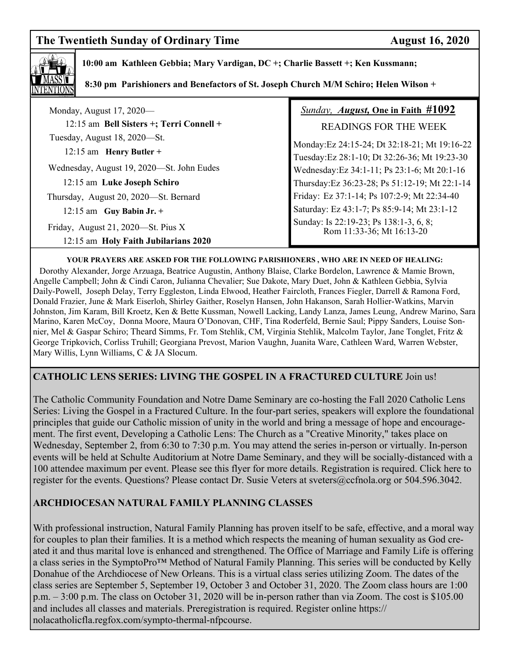## **The Twentieth Sunday of Ordinary Time August 16, 2020**



 **10:00 am Kathleen Gebbia; Mary Vardigan, DC +; Charlie Bassett +; Ken Kussmann;** 

 **8:30 pm Parishioners and Benefactors of St. Joseph Church M/M Schiro; Helen Wilson +** 

| Monday, August 17, 2020—                  | <b>Sunday, August, One in Faith #1092</b>                           |
|-------------------------------------------|---------------------------------------------------------------------|
| 12:15 am Bell Sisters +; Terri Connell +  | <b>READINGS FOR THE WEEK</b>                                        |
| Tuesday, August 18, 2020—St.              | Monday: Ez 24:15-24; Dt 32:18-21; Mt 19:16-22                       |
| $12:15$ am Henry Butler +                 | Tuesday:Ez 28:1-10; Dt 32:26-36; Mt 19:23-30                        |
| Wednesday, August 19, 2020—St. John Eudes | Wednesday: Ez 34:1-11; Ps 23:1-6; Mt 20:1-16                        |
| 12:15 am Luke Joseph Schiro               | Thursday: Ez 36:23-28; Ps 51:12-19; Mt 22:1-14                      |
| Thursday, August 20, 2020-St. Bernard     | Friday: Ez 37:1-14; Ps 107:2-9; Mt 22:34-40                         |
| $12:15$ am Guy Babin Jr. +                | Saturday: Ez 43:1-7; Ps 85:9-14; Mt 23:1-12                         |
| Friday, August 21, 2020—St. Pius X        | Sunday: Is 22:19-23; Ps 138:1-3, 6, 8;<br>Rom 11:33-36; Mt 16:13-20 |
| 12:15 am Holy Faith Jubilarians 2020      |                                                                     |

#### **YOUR PRAYERS ARE ASKED FOR THE FOLLOWING PARISHIONERS , WHO ARE IN NEED OF HEALING:**

 Dorothy Alexander, Jorge Arzuaga, Beatrice Augustin, Anthony Blaise, Clarke Bordelon, Lawrence & Mamie Brown, Angelle Campbell; John & Cindi Caron, Julianna Chevalier; Sue Dakote, Mary Duet, John & Kathleen Gebbia, Sylvia Daily-Powell, Joseph Delay, Terry Eggleston, Linda Elwood, Heather Faircloth, Frances Fiegler, Darrell & Ramona Ford, Donald Frazier, June & Mark Eiserloh, Shirley Gaither, Roselyn Hansen, John Hakanson, Sarah Hollier-Watkins, Marvin Johnston, Jim Karam, Bill Kroetz, Ken & Bette Kussman, Nowell Lacking, Landy Lanza, James Leung, Andrew Marino, Sara Marino, Karen McCoy, Donna Moore, Maura O'Donovan, CHF, Tina Roderfeld, Bernie Saul; Pippy Sanders, Louise Sonnier, Mel & Gaspar Schiro; Theard Simms, Fr. Tom Stehlik, CM, Virginia Stehlik, Malcolm Taylor, Jane Tonglet, Fritz & George Tripkovich, Corliss Truhill; Georgiana Prevost, Marion Vaughn, Juanita Ware, Cathleen Ward, Warren Webster, Mary Willis, Lynn Williams, C & JA Slocum.

#### **CATHOLIC LENS SERIES: LIVING THE GOSPEL IN A FRACTURED CULTURE** Join us!

The Catholic Community Foundation and Notre Dame Seminary are co-hosting the Fall 2020 Catholic Lens Series: Living the Gospel in a Fractured Culture. In the four-part series, speakers will explore the foundational principles that guide our Catholic mission of unity in the world and bring a message of hope and encouragement. The first event, Developing a Catholic Lens: The Church as a "Creative Minority," takes place on Wednesday, September 2, from 6:30 to 7:30 p.m. You may attend the series in-person or virtually. In-person events will be held at Schulte Auditorium at Notre Dame Seminary, and they will be socially-distanced with a 100 attendee maximum per event. Please see this flyer for more details. Registration is required. Click here to register for the events. Questions? Please contact Dr. Susie Veters at sveters@ccfnola.org or 504.596.3042.

#### **ARCHDIOCESAN NATURAL FAMILY PLANNING CLASSES**

With professional instruction, Natural Family Planning has proven itself to be safe, effective, and a moral way for couples to plan their families. It is a method which respects the meaning of human sexuality as God created it and thus marital love is enhanced and strengthened. The Office of Marriage and Family Life is offering a class series in the SymptoPro™ Method of Natural Family Planning. This series will be conducted by Kelly Donahue of the Archdiocese of New Orleans. This is a virtual class series utilizing Zoom. The dates of the class series are September 5, September 19, October 3 and October 31, 2020. The Zoom class hours are 1:00 p.m. – 3:00 p.m. The class on October 31, 2020 will be in-person rather than via Zoom. The cost is \$105.00 and includes all classes and materials. Preregistration is required. Register online https:// nolacatholicfla.regfox.com/sympto-thermal-nfpcourse.